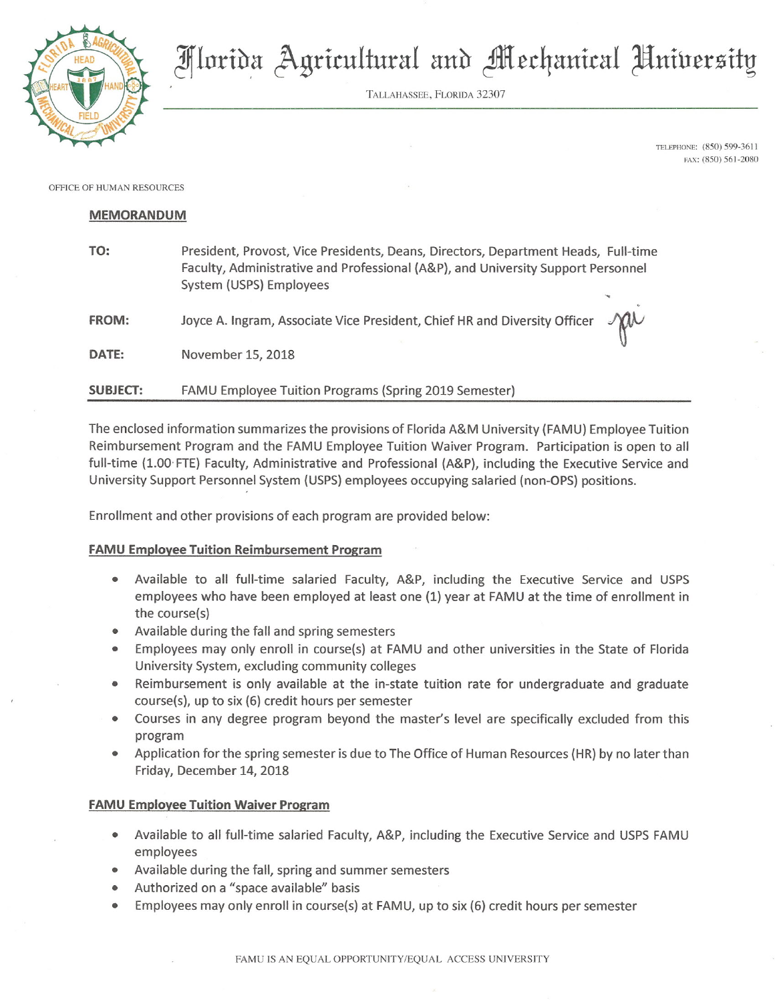

TALLAHASSEE, FLORIDA 32307

TELEPHONE: (850) 599-3611 FAX: (850) 561-2080

OFFICE OF HUMAN RESOURCES

## **MEMORANDUM**

| TO:             | President, Provost, Vice Presidents, Deans, Directors, Department Heads, Full-time<br>Faculty, Administrative and Professional (A&P), and University Support Personnel<br>System (USPS) Employees |  |
|-----------------|---------------------------------------------------------------------------------------------------------------------------------------------------------------------------------------------------|--|
| <b>FROM:</b>    | Joyce A. Ingram, Associate Vice President, Chief HR and Diversity Officer $\mathcal{M}$                                                                                                           |  |
| DATE:           | November 15, 2018                                                                                                                                                                                 |  |
| <b>SUBJECT:</b> | FAMU Employee Tuition Programs (Spring 2019 Semester)                                                                                                                                             |  |

The enclosed information summarizes the provisions of Florida A&M University (FAMU) Employee Tuition Reimbursement Program and the FAMU Employee Tuition Waiver Program. Participation is open to all full-time (1.00 FTE) Faculty, Administrative and Professional (A&P), including the Executive Service and University Support Personnel System (USPS) employees occupying salaried (non-OPS) positions.

Enrollment and other provisions of each program are provided below:

## **FAMU Employee Tuition Reimbursement Program**

- Available to all full-time salaried Faculty, A&P, including the Executive Service and USPS employees who have been employed at least one (1) year at FAMU at the time of enrollment in the course(s)
- Available during the fall and spring semesters
- Employees may only enroll in course(s) at FAMU and other universities in the State of Florida University System, excluding community colleges
- Reimbursement is only available at the in-state tuition rate for undergraduate and graduate course(s), up to six (6) credit hours per semester
- Courses in any degree program beyond the master's level are specifically excluded from this program
- Application for the spring semester is due to The Office of Human Resources (HR) by no later than Friday, December 14, 2018

## **FAMU Employee Tuition Waiver Program**

- Available to all full-time salaried Faculty, A&P, including the Executive Service and USPS FAMU employees
- Available during the fall, spring and summer semesters
- Authorized on a "space available" basis
- Employees may only enroll in course(s) at FAMU, up to six (6) credit hours per semester